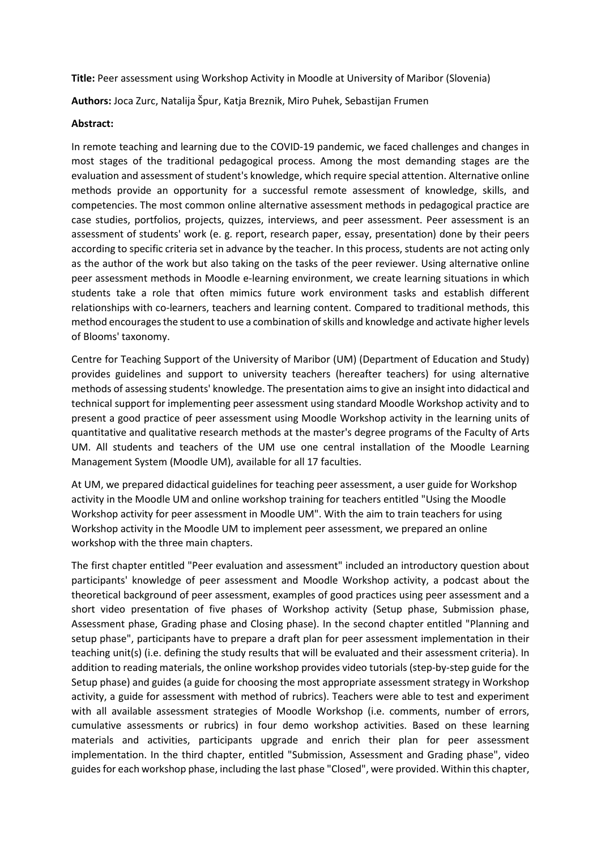**Title:** Peer assessment using Workshop Activity in Moodle at University of Maribor (Slovenia)

**Authors:** Joca Zurc, Natalija Špur, Katja Breznik, Miro Puhek, Sebastijan Frumen

## **Abstract:**

In remote teaching and learning due to the COVID-19 pandemic, we faced challenges and changes in most stages of the traditional pedagogical process. Among the most demanding stages are the evaluation and assessment of student's knowledge, which require special attention. Alternative online methods provide an opportunity for a successful remote assessment of knowledge, skills, and competencies. The most common online alternative assessment methods in pedagogical practice are case studies, portfolios, projects, quizzes, interviews, and peer assessment. Peer assessment is an assessment of students' work (e. g. report, research paper, essay, presentation) done by their peers according to specific criteria set in advance by the teacher. In this process, students are not acting only as the author of the work but also taking on the tasks of the peer reviewer. Using alternative online peer assessment methods in Moodle e-learning environment, we create learning situations in which students take a role that often mimics future work environment tasks and establish different relationships with co-learners, teachers and learning content. Compared to traditional methods, this method encouragesthe student to use a combination of skills and knowledge and activate higher levels of Blooms' taxonomy.

Centre for Teaching Support of the University of Maribor (UM) (Department of Education and Study) provides guidelines and support to university teachers (hereafter teachers) for using alternative methods of assessing students' knowledge. The presentation aimsto give an insight into didactical and technical support for implementing peer assessment using standard Moodle Workshop activity and to present a good practice of peer assessment using Moodle Workshop activity in the learning units of quantitative and qualitative research methods at the master's degree programs of the Faculty of Arts UM. All students and teachers of the UM use one central installation of the Moodle Learning Management System (Moodle UM), available for all 17 faculties.

At UM, we prepared didactical guidelines for teaching peer assessment, a user guide for Workshop activity in the Moodle UM and online workshop training for teachers entitled "Using the Moodle Workshop activity for peer assessment in Moodle UM". With the aim to train teachers for using Workshop activity in the Moodle UM to implement peer assessment, we prepared an online workshop with the three main chapters.

The first chapter entitled "Peer evaluation and assessment" included an introductory question about participants' knowledge of peer assessment and Moodle Workshop activity, a podcast about the theoretical background of peer assessment, examples of good practices using peer assessment and a short video presentation of five phases of Workshop activity (Setup phase, Submission phase, Assessment phase, Grading phase and Closing phase). In the second chapter entitled "Planning and setup phase", participants have to prepare a draft plan for peer assessment implementation in their teaching unit(s) (i.e. defining the study results that will be evaluated and their assessment criteria). In addition to reading materials, the online workshop provides video tutorials (step-by-step guide for the Setup phase) and guides (a guide for choosing the most appropriate assessment strategy in Workshop activity, a guide for assessment with method of rubrics). Teachers were able to test and experiment with all available assessment strategies of Moodle Workshop (i.e. comments, number of errors, cumulative assessments or rubrics) in four demo workshop activities. Based on these learning materials and activities, participants upgrade and enrich their plan for peer assessment implementation. In the third chapter, entitled "Submission, Assessment and Grading phase", video guides for each workshop phase, including the last phase "Closed", were provided. Within this chapter,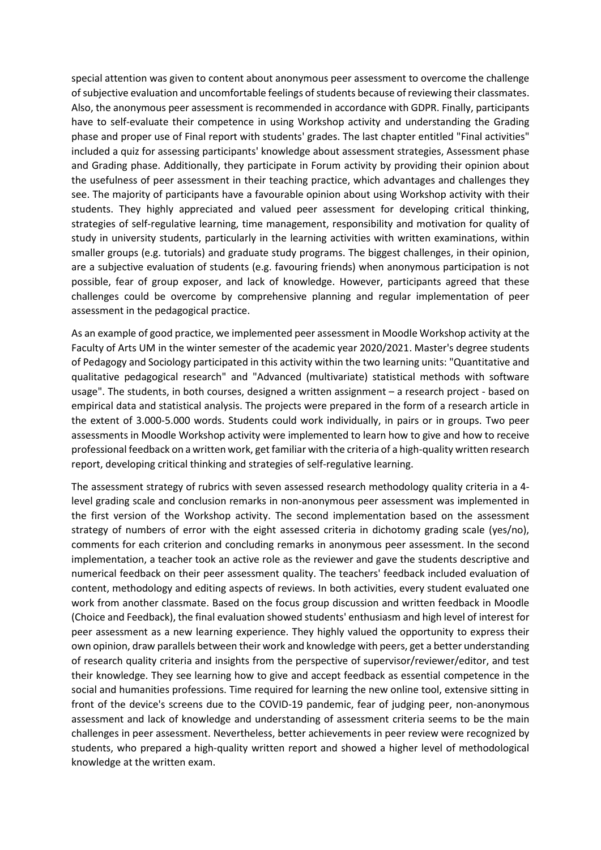special attention was given to content about anonymous peer assessment to overcome the challenge of subjective evaluation and uncomfortable feelings of students because of reviewing their classmates. Also, the anonymous peer assessment is recommended in accordance with GDPR. Finally, participants have to self-evaluate their competence in using Workshop activity and understanding the Grading phase and proper use of Final report with students' grades. The last chapter entitled "Final activities" included a quiz for assessing participants' knowledge about assessment strategies, Assessment phase and Grading phase. Additionally, they participate in Forum activity by providing their opinion about the usefulness of peer assessment in their teaching practice, which advantages and challenges they see. The majority of participants have a favourable opinion about using Workshop activity with their students. They highly appreciated and valued peer assessment for developing critical thinking, strategies of self-regulative learning, time management, responsibility and motivation for quality of study in university students, particularly in the learning activities with written examinations, within smaller groups (e.g. tutorials) and graduate study programs. The biggest challenges, in their opinion, are a subjective evaluation of students (e.g. favouring friends) when anonymous participation is not possible, fear of group exposer, and lack of knowledge. However, participants agreed that these challenges could be overcome by comprehensive planning and regular implementation of peer assessment in the pedagogical practice.

As an example of good practice, we implemented peer assessment in Moodle Workshop activity at the Faculty of Arts UM in the winter semester of the academic year 2020/2021. Master's degree students of Pedagogy and Sociology participated in this activity within the two learning units: "Quantitative and qualitative pedagogical research" and "Advanced (multivariate) statistical methods with software usage". The students, in both courses, designed a written assignment – a research project - based on empirical data and statistical analysis. The projects were prepared in the form of a research article in the extent of 3.000-5.000 words. Students could work individually, in pairs or in groups. Two peer assessments in Moodle Workshop activity were implemented to learn how to give and how to receive professional feedback on a written work, get familiar with the criteria of a high-quality written research report, developing critical thinking and strategies of self-regulative learning.

The assessment strategy of rubrics with seven assessed research methodology quality criteria in a 4 level grading scale and conclusion remarks in non-anonymous peer assessment was implemented in the first version of the Workshop activity. The second implementation based on the assessment strategy of numbers of error with the eight assessed criteria in dichotomy grading scale (yes/no), comments for each criterion and concluding remarks in anonymous peer assessment. In the second implementation, a teacher took an active role as the reviewer and gave the students descriptive and numerical feedback on their peer assessment quality. The teachers' feedback included evaluation of content, methodology and editing aspects of reviews. In both activities, every student evaluated one work from another classmate. Based on the focus group discussion and written feedback in Moodle (Choice and Feedback), the final evaluation showed students' enthusiasm and high level of interest for peer assessment as a new learning experience. They highly valued the opportunity to express their own opinion, draw parallels between their work and knowledge with peers, get a better understanding of research quality criteria and insights from the perspective of supervisor/reviewer/editor, and test their knowledge. They see learning how to give and accept feedback as essential competence in the social and humanities professions. Time required for learning the new online tool, extensive sitting in front of the device's screens due to the COVID-19 pandemic, fear of judging peer, non-anonymous assessment and lack of knowledge and understanding of assessment criteria seems to be the main challenges in peer assessment. Nevertheless, better achievements in peer review were recognized by students, who prepared a high-quality written report and showed a higher level of methodological knowledge at the written exam.